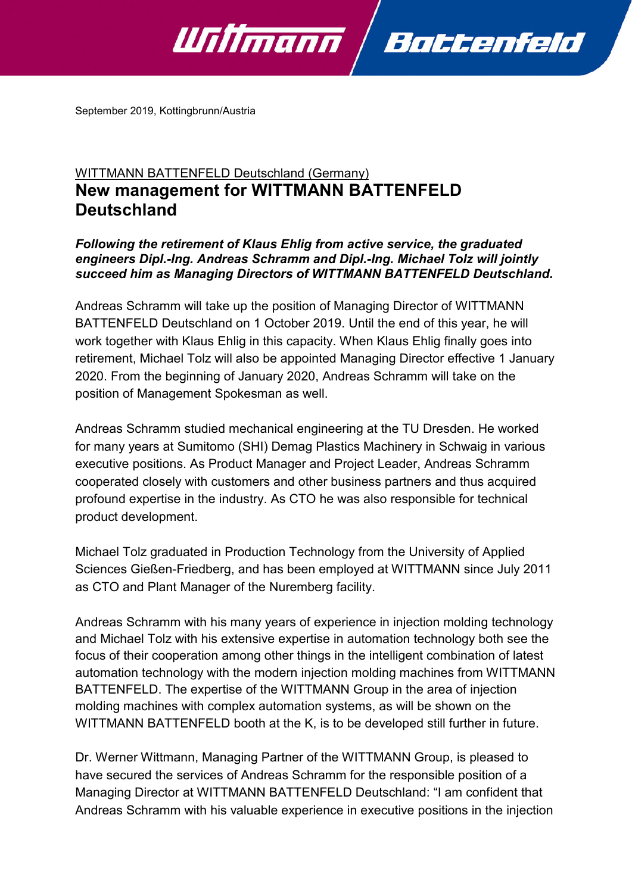

September 2019, Kottingbrunn/Austria

## WITTMANN BATTENFELD Deutschland (Germany) **New management for WITTMANN BATTENFELD Deutschland**

## *Following the retirement of Klaus Ehlig from active service, the graduated engineers Dipl.-Ing. Andreas Schramm and Dipl.-Ing. Michael Tolz will jointly succeed him as Managing Directors of WITTMANN BATTENFELD Deutschland.*

Andreas Schramm will take up the position of Managing Director of WITTMANN BATTENFELD Deutschland on 1 October 2019. Until the end of this year, he will work together with Klaus Ehlig in this capacity. When Klaus Ehlig finally goes into retirement, Michael Tolz will also be appointed Managing Director effective 1 January 2020. From the beginning of January 2020, Andreas Schramm will take on the position of Management Spokesman as well.

Andreas Schramm studied mechanical engineering at the TU Dresden. He worked for many years at Sumitomo (SHI) Demag Plastics Machinery in Schwaig in various executive positions. As Product Manager and Project Leader, Andreas Schramm cooperated closely with customers and other business partners and thus acquired profound expertise in the industry. As CTO he was also responsible for technical product development.

Michael Tolz graduated in Production Technology from the University of Applied Sciences Gießen-Friedberg, and has been employed at WITTMANN since July 2011 as CTO and Plant Manager of the Nuremberg facility.

Andreas Schramm with his many years of experience in injection molding technology and Michael Tolz with his extensive expertise in automation technology both see the focus of their cooperation among other things in the intelligent combination of latest automation technology with the modern injection molding machines from WITTMANN BATTENFELD. The expertise of the WITTMANN Group in the area of injection molding machines with complex automation systems, as will be shown on the WITTMANN BATTENFELD booth at the K, is to be developed still further in future.

Dr. Werner Wittmann, Managing Partner of the WITTMANN Group, is pleased to have secured the services of Andreas Schramm for the responsible position of a Managing Director at WITTMANN BATTENFELD Deutschland: "I am confident that Andreas Schramm with his valuable experience in executive positions in the injection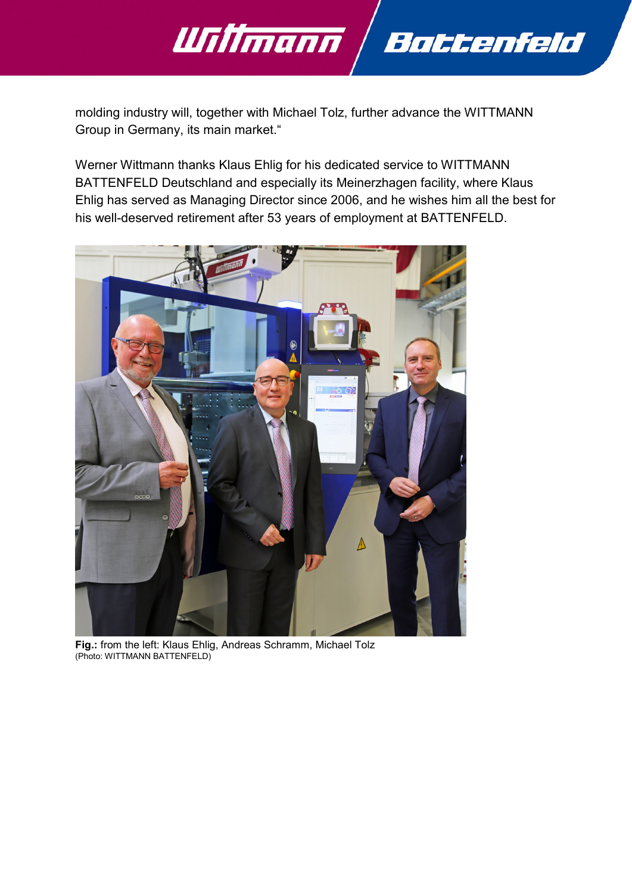

molding industry will, together with Michael Tolz, further advance the WITTMANN Group in Germany, its main market."

Werner Wittmann thanks Klaus Ehlig for his dedicated service to WITTMANN BATTENFELD Deutschland and especially its Meinerzhagen facility, where Klaus Ehlig has served as Managing Director since 2006, and he wishes him all the best for his well-deserved retirement after 53 years of employment at BATTENFELD.



**Fig.:** from the left: Klaus Ehlig, Andreas Schramm, Michael Tolz (Photo: WITTMANN BATTENFELD)